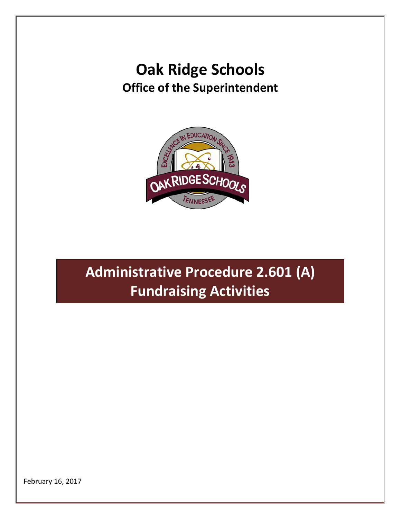## **Oak Ridge Schools Office of the Superintendent**



## **Administrative Procedure 2.601 (A) Fundraising Activities**

February 16, 2017